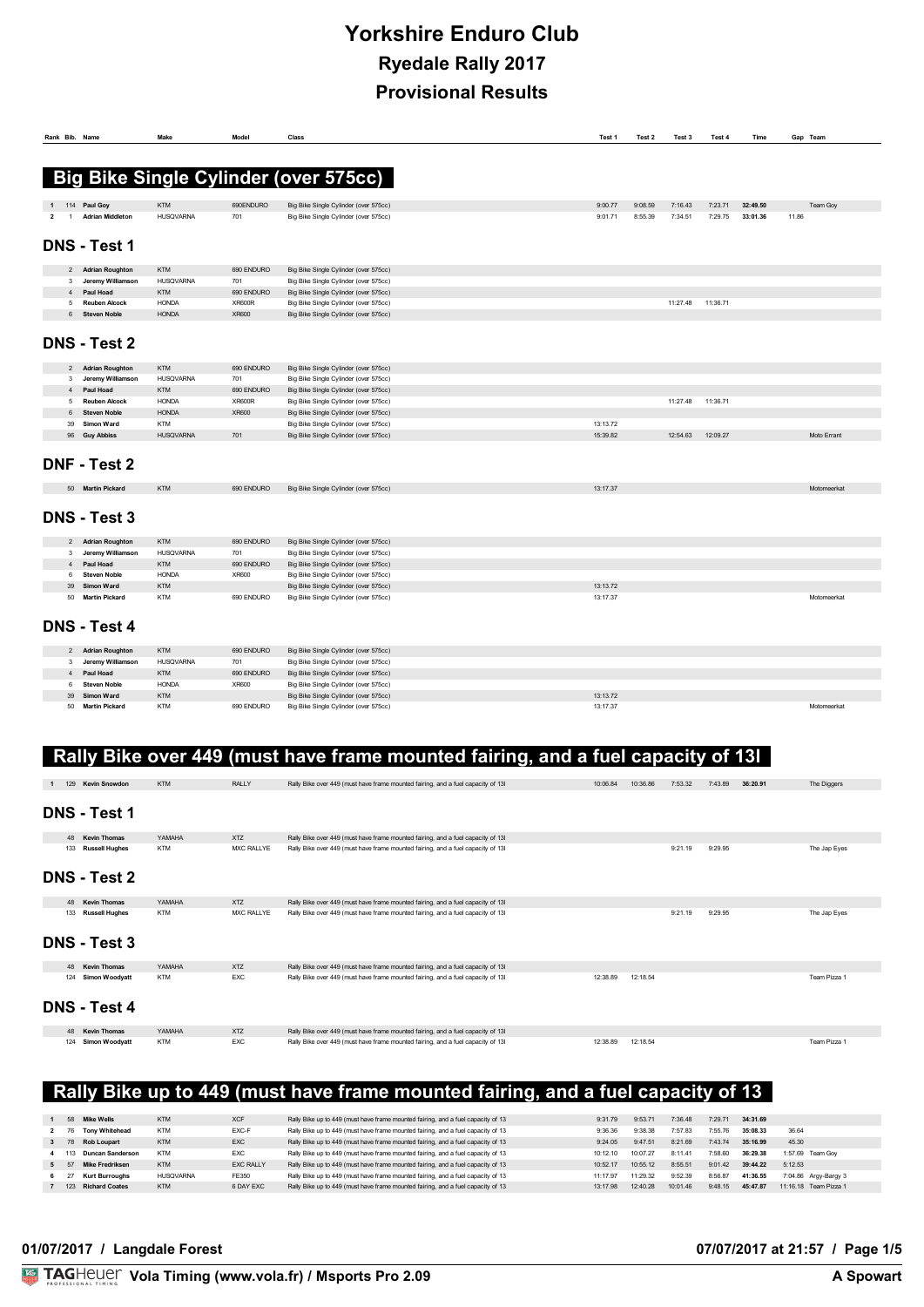# **Yorkshire Enduro Club Ryedale Rally 2017 Provisional Results**

|                     | Rank Bib. Name                  | Make                     | Model         | Class                                                                          | Test 1               | Test 2  | Test 3   | Test 4   | Time     | Gap Team    |
|---------------------|---------------------------------|--------------------------|---------------|--------------------------------------------------------------------------------|----------------------|---------|----------|----------|----------|-------------|
|                     |                                 |                          |               |                                                                                |                      |         |          |          |          |             |
|                     |                                 |                          |               | <b>Big Bike Single Cylinder (over 575cc)</b>                                   |                      |         |          |          |          |             |
|                     |                                 |                          |               |                                                                                |                      |         |          |          |          |             |
|                     | 114 Paul Goy                    | <b>KTM</b>               | 690ENDURO     | Big Bike Single Cylinder (over 575cc)                                          | 9:00.77              | 9:08.59 | 7:16.43  | 7:23.71  | 32:49.50 | Team Goy    |
| $\overline{2}$<br>1 | <b>Adrian Middleton</b>         | <b>HUSQVARNA</b>         | 701           | Big Bike Single Cylinder (over 575cc)                                          | 9:01.71              | 8:55.39 | 7:34.51  | 7:29.75  | 33:01.36 | 11.86       |
|                     |                                 |                          |               |                                                                                |                      |         |          |          |          |             |
|                     | <b>DNS - Test 1</b>             |                          |               |                                                                                |                      |         |          |          |          |             |
|                     | 2 Adrian Roughton               | <b>KTM</b>               | 690 ENDURO    | Big Bike Single Cylinder (over 575cc)                                          |                      |         |          |          |          |             |
|                     | 3 Jeremy Williamson             | <b>HUSQVARNA</b>         | 701           | Big Bike Single Cylinder (over 575cc)                                          |                      |         |          |          |          |             |
|                     | 4 Paul Hoad                     | <b>KTM</b>               | 690 ENDURO    | Big Bike Single Cylinder (over 575cc)                                          |                      |         |          |          |          |             |
|                     | 5 Reuben Alcock                 | <b>HONDA</b>             | <b>XR600R</b> | Big Bike Single Cylinder (over 575cc)                                          |                      |         | 11:27.48 | 11:36.71 |          |             |
| 6                   | <b>Steven Noble</b>             | <b>HONDA</b>             | XR600         | Big Bike Single Cylinder (over 575cc)                                          |                      |         |          |          |          |             |
|                     |                                 |                          |               |                                                                                |                      |         |          |          |          |             |
|                     | DNS - Test 2                    |                          |               |                                                                                |                      |         |          |          |          |             |
|                     | 2 Adrian Roughton               | <b>KTM</b>               | 690 ENDURO    | Big Bike Single Cylinder (over 575cc)                                          |                      |         |          |          |          |             |
|                     | 3 Jeremy Williamson             | <b>HUSQVARNA</b>         | 701           | Big Bike Single Cylinder (over 575cc)                                          |                      |         |          |          |          |             |
| 4                   | Paul Hoad                       | <b>KTM</b>               | 690 ENDURO    | Big Bike Single Cylinder (over 575cc)                                          |                      |         |          |          |          |             |
| 5                   | <b>Reuben Alcock</b>            | <b>HONDA</b>             | <b>XR600R</b> | Big Bike Single Cylinder (over 575cc)                                          |                      |         | 11:27.48 | 11:36.71 |          |             |
| 6                   | <b>Steven Noble</b>             | <b>HONDA</b>             | XR600         | Big Bike Single Cylinder (over 575cc)                                          |                      |         |          |          |          |             |
| 39                  | <b>Simon Ward</b>               | <b>KTM</b>               |               | Big Bike Single Cylinder (over 575cc)                                          | 13:13.72             |         |          |          |          |             |
| 96                  | <b>Guy Abbiss</b>               | <b>HUSQVARNA</b>         | 701           | Big Bike Single Cylinder (over 575cc)                                          | 15:39.82             |         | 12:54.63 | 12:09.27 |          | Moto Errant |
|                     |                                 |                          |               |                                                                                |                      |         |          |          |          |             |
|                     | DNF - Test 2                    |                          |               |                                                                                |                      |         |          |          |          |             |
|                     | 50 Martin Pickard               | <b>KTM</b>               | 690 ENDURO    | Big Bike Single Cylinder (over 575cc)                                          | 13:17.37             |         |          |          |          | Motomeerkat |
|                     | <b>DNS - Test 3</b>             |                          |               |                                                                                |                      |         |          |          |          |             |
|                     | 2 Adrian Roughton               | <b>KTM</b>               | 690 ENDURO    | Big Bike Single Cylinder (over 575cc)                                          |                      |         |          |          |          |             |
| $\mathbf{3}$        | Jeremy Williamson               | <b>HUSQVARNA</b>         | 701           | Big Bike Single Cylinder (over 575cc)                                          |                      |         |          |          |          |             |
| 4                   | Paul Hoad                       | <b>KTM</b>               | 690 ENDURO    | Big Bike Single Cylinder (over 575cc)                                          |                      |         |          |          |          |             |
| 6                   | <b>Steven Noble</b>             | <b>HONDA</b>             | XR600         | Big Bike Single Cylinder (over 575cc)                                          |                      |         |          |          |          |             |
| 39                  | Simon Ward                      | <b>KTM</b>               |               | Big Bike Single Cylinder (over 575cc)                                          | 13:13.72             |         |          |          |          |             |
| 50                  | <b>Martin Pickard</b>           | <b>KTM</b>               | 690 ENDURO    | Big Bike Single Cylinder (over 575cc)                                          | 13:17.37             |         |          |          |          | Motomeerkat |
|                     | DNS - Test 4                    |                          |               |                                                                                |                      |         |          |          |          |             |
|                     |                                 |                          |               |                                                                                |                      |         |          |          |          |             |
| $\overline{2}$      | <b>Adrian Roughton</b>          | <b>KTM</b>               | 690 ENDURO    | Big Bike Single Cylinder (over 575cc)                                          |                      |         |          |          |          |             |
| 3                   | Jeremy Williamson               | <b>HUSQVARNA</b>         | 701           | Big Bike Single Cylinder (over 575cc)                                          |                      |         |          |          |          |             |
| $\overline{4}$      | Paul Hoad                       | <b>KTM</b>               | 690 ENDURO    | Big Bike Single Cylinder (over 575cc)                                          |                      |         |          |          |          |             |
| 6<br>39             | <b>Steven Noble</b>             | <b>HONDA</b>             | XR600         | Big Bike Single Cylinder (over 575cc)                                          |                      |         |          |          |          |             |
|                     | Simon Ward<br>50 Martin Pickard | <b>KTM</b><br><b>KTM</b> | 690 ENDURO    | Big Bike Single Cylinder (over 575cc)<br>Big Bike Single Cylinder (over 575cc) | 13:13.72<br>13:17.37 |         |          |          |          | Motomeerkat |

|     | 129 Kevin Snowdon     | <b>KTM</b> | <b>RALLY</b> | Rally Bike over 449 (must have frame mounted fairing, and a fuel capacity of 13I | 10:06.84 | 10:36.86 | 7:53.32 | 7:43.89 | 36:20.91 | The Diggers  |
|-----|-----------------------|------------|--------------|----------------------------------------------------------------------------------|----------|----------|---------|---------|----------|--------------|
|     | <b>DNS - Test 1</b>   |            |              |                                                                                  |          |          |         |         |          |              |
|     |                       |            |              |                                                                                  |          |          |         |         |          |              |
|     | 48 Kevin Thomas       | YAMAHA     | <b>XTZ</b>   | Rally Bike over 449 (must have frame mounted fairing, and a fuel capacity of 13I |          |          |         |         |          |              |
|     | 133 Russell Hughes    | <b>KTM</b> | MXC RALLYE   | Rally Bike over 449 (must have frame mounted fairing, and a fuel capacity of 13I |          |          | 9:21.19 | 9:29.95 |          | The Jap Eyes |
|     | <b>DNS - Test 2</b>   |            |              |                                                                                  |          |          |         |         |          |              |
|     | 48 Kevin Thomas       | YAMAHA     | <b>XTZ</b>   | Rally Bike over 449 (must have frame mounted fairing, and a fuel capacity of 13I |          |          |         |         |          |              |
|     | 133 Russell Hughes    | <b>KTM</b> | MXC RALLYE   | Rally Bike over 449 (must have frame mounted fairing, and a fuel capacity of 13I |          |          | 9:21.19 | 9:29.95 |          | The Jap Eyes |
|     | <b>DNS - Test 3</b>   |            |              |                                                                                  |          |          |         |         |          |              |
|     | 48 Kevin Thomas       | YAMAHA     | <b>XTZ</b>   | Rally Bike over 449 (must have frame mounted fairing, and a fuel capacity of 13I |          |          |         |         |          |              |
|     | 124 Simon Woodyatt    | <b>KTM</b> | <b>EXC</b>   | Rally Bike over 449 (must have frame mounted fairing, and a fuel capacity of 13I | 12:38.89 | 12:18.54 |         |         |          | Team Pizza 1 |
|     | <b>DNS - Test 4</b>   |            |              |                                                                                  |          |          |         |         |          |              |
|     | 48 Kevin Thomas       | YAMAHA     | <b>XTZ</b>   | Rally Bike over 449 (must have frame mounted fairing, and a fuel capacity of 13I |          |          |         |         |          |              |
| 124 | <b>Simon Woodyatt</b> | <b>KTM</b> | <b>EXC</b>   | Rally Bike over 449 (must have frame mounted fairing, and a fuel capacity of 13I | 12:38.89 | 12:18.54 |         |         |          | Team Pizza 1 |

# **Rally Bike up to 449 (must have frame mounted fairing, and a fuel capacity of 13**

|      | 58 Mike Wells         | <b>KTM</b>       | <b>XCF</b>       | Rally Bike up to 449 (must have frame mounted fairing, and a fuel capacity of 13 | 9:31.79  | 9:53.71  | 7:36.48  | 7:29.71 | 34:31.69 |                       |
|------|-----------------------|------------------|------------------|----------------------------------------------------------------------------------|----------|----------|----------|---------|----------|-----------------------|
|      | <b>Tony Whitehead</b> | <b>KTM</b>       | EXC-F            | Rally Bike up to 449 (must have frame mounted fairing, and a fuel capacity of 13 | 9:36.36  | 9:38.38  | 7:57.83  | 7:55.76 | 35:08.33 | 36.64                 |
|      | <b>Rob Loupart</b>    | <b>KTM</b>       | <b>EXC</b>       | Rally Bike up to 449 (must have frame mounted fairing, and a fuel capacity of 13 | 9:24.05  | 9.47.51  | 8:21.69  | 7:43.74 | 35:16.99 | 45.30                 |
| 113. | Duncan Sanderson      | <b>KTM</b>       | <b>EXC</b>       | Rally Bike up to 449 (must have frame mounted fairing, and a fuel capacity of 13 | 10:12.10 | 10:07.27 | 8:11.41  | 7:58.60 | 36:29.38 | 1:57.69 Team Gov      |
|      | Mike Fredriksen       | <b>KTM</b>       | <b>EXC RALLY</b> | Rally Bike up to 449 (must have frame mounted fairing, and a fuel capacity of 13 | 10:52.17 | 10:55 12 | 8:55.51  | 9:01.42 | 39:44.22 | 5:12.53               |
|      | <b>Kurt Burroughs</b> | <b>HUSQVARNA</b> | FE350            | Rally Bike up to 449 (must have frame mounted fairing, and a fuel capacity of 13 | 11.17.97 | 11.29.32 | 9:52.39  | 8:56.87 | 41:36.55 | 7:04.86 Arav-Barav 3  |
|      | 123 Richard Coates    | <b>KTM</b>       | 6 DAY EXC        | Rally Bike up to 449 (must have frame mounted fairing, and a fuel capacity of 13 | 13:17.98 | 12:40.28 | 10:01.46 | 9.4815  | 45:47.87 | 11:16 18 Team Pizza 1 |
|      |                       |                  |                  |                                                                                  |          |          |          |         |          |                       |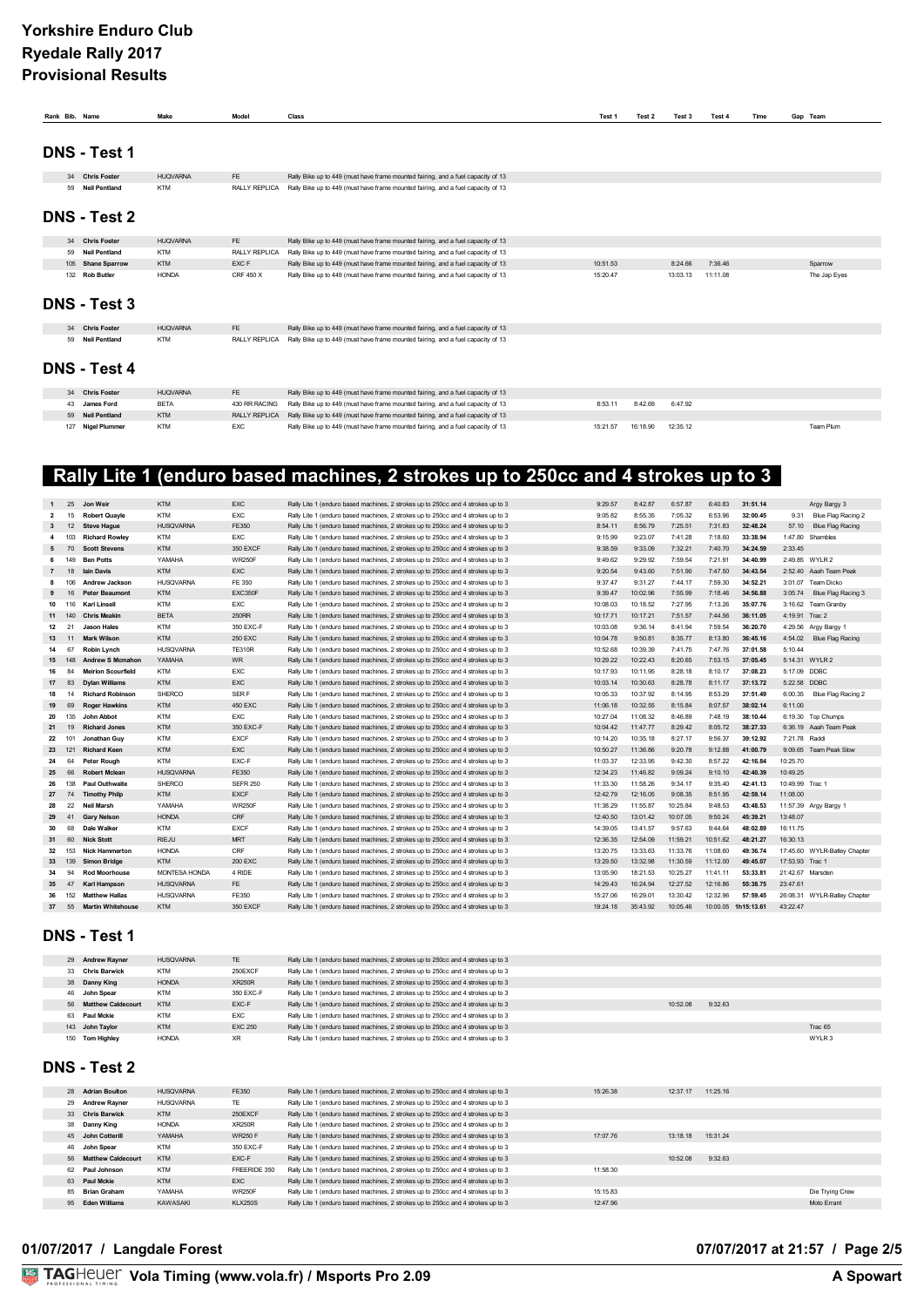| Rank Bib. Name |                      | Make            | Model                | Class                                                                            | Test 1   | Test 2   | Test 3   | Test 4   | Time | Gap Team     |
|----------------|----------------------|-----------------|----------------------|----------------------------------------------------------------------------------|----------|----------|----------|----------|------|--------------|
|                |                      |                 |                      |                                                                                  |          |          |          |          |      |              |
|                | <b>DNS - Test 1</b>  |                 |                      |                                                                                  |          |          |          |          |      |              |
|                | 34 Chris Foster      | <b>HUQVARNA</b> | <b>FE</b>            | Rally Bike up to 449 (must have frame mounted fairing, and a fuel capacity of 13 |          |          |          |          |      |              |
|                | 59 Neil Pentland     | <b>KTM</b>      | RALLY REPLICA        | Rally Bike up to 449 (must have frame mounted fairing, and a fuel capacity of 13 |          |          |          |          |      |              |
|                | <b>DNS - Test 2</b>  |                 |                      |                                                                                  |          |          |          |          |      |              |
|                | 34 Chris Foster      | <b>HUQVARNA</b> | FE                   | Rally Bike up to 449 (must have frame mounted fairing, and a fuel capacity of 13 |          |          |          |          |      |              |
| 59             | <b>Neil Pentland</b> | <b>KTM</b>      | <b>RALLY REPLICA</b> | Rally Bike up to 449 (must have frame mounted fairing, and a fuel capacity of 13 |          |          |          |          |      |              |
|                | 105 Shane Sparrow    | <b>KTM</b>      | EXC F                | Rally Bike up to 449 (must have frame mounted fairing, and a fuel capacity of 13 | 10:51.53 |          | 8:24.66  | 7:36.46  |      | Sparrow      |
|                | 132 Rob Butler       | <b>HONDA</b>    | CRF 450 X            | Rally Bike up to 449 (must have frame mounted fairing, and a fuel capacity of 13 | 15:20.47 |          | 13:03.13 | 11:11.08 |      | The Jap Eyes |
|                | <b>DNS - Test 3</b>  |                 |                      |                                                                                  |          |          |          |          |      |              |
|                | 34 Chris Foster      | <b>HUQVARNA</b> | FE                   | Rally Bike up to 449 (must have frame mounted fairing, and a fuel capacity of 13 |          |          |          |          |      |              |
| 59             | <b>Neil Pentland</b> | <b>KTM</b>      | RALLY REPLICA        | Rally Bike up to 449 (must have frame mounted fairing, and a fuel capacity of 13 |          |          |          |          |      |              |
|                | <b>DNS - Test 4</b>  |                 |                      |                                                                                  |          |          |          |          |      |              |
|                | 34 Chris Foster      | <b>HUQVARNA</b> | FE                   | Rally Bike up to 449 (must have frame mounted fairing, and a fuel capacity of 13 |          |          |          |          |      |              |
| 43             | <b>James Ford</b>    | <b>BETA</b>     | 430 RR RACING        | Rally Bike up to 449 (must have frame mounted fairing, and a fuel capacity of 13 | 8:53.11  | 8:42.69  | 6:47.92  |          |      |              |
| 59             | <b>Neil Pentland</b> | <b>KTM</b>      | RALLY REPLICA        | Rally Bike up to 449 (must have frame mounted fairing, and a fuel capacity of 13 |          |          |          |          |      |              |
| 127            | <b>Nigel Plummer</b> | <b>KTM</b>      | EXC                  | Rally Bike up to 449 (must have frame mounted fairing, and a fuel capacity of 13 | 15:21.57 | 16:18.90 | 12:35.12 |          |      | Team Plum    |

# **Rally Lite 1 (enduro based machines, 2 strokes up to 250cc and 4 strokes up to 3**

| $\mathbf{1}$            | 25     | Jon Weir                  | <b>KTM</b>           | <b>EXC</b>      | Rally Lite 1 (enduro based machines, 2 strokes up to 250cc and 4 strokes up to 3 | 9:29.57  | 8:42.87  | 6:57.87  | 6:40.83             | 31:51.14 |                  | Argy Bargy 3                 |
|-------------------------|--------|---------------------------|----------------------|-----------------|----------------------------------------------------------------------------------|----------|----------|----------|---------------------|----------|------------------|------------------------------|
| $\overline{2}$          | 15     | <b>Robert Quayle</b>      | <b>KTM</b>           | <b>EXC</b>      | Rally Lite 1 (enduro based machines, 2 strokes up to 250cc and 4 strokes up to 3 | 9:05.82  | 8:55.35  | 7:05.32  | 6:53.96             | 32:00.45 | 9.31             | Blue Flag Racing 2           |
| $\mathbf{3}$            | 12     | <b>Steve Hague</b>        | <b>HUSQVARNA</b>     | FE350           | Rally Lite 1 (enduro based machines, 2 strokes up to 250cc and 4 strokes up to 3 | 8:54.11  | 8:56.79  | 7:25.51  | 7:31.83             | 32:48.24 | 57.10            | <b>Blue Flag Racing</b>      |
| $\overline{\mathbf{4}}$ | 103    | <b>Richard Rowley</b>     | <b>KTM</b>           | <b>EXC</b>      | Rally Lite 1 (enduro based machines, 2 strokes up to 250cc and 4 strokes up to 3 | 9:15.99  | 9:23.07  | 7:41.28  | 7:18.60             | 33:38.94 | 1:47.80          | Shambles                     |
| 5                       | 70     | <b>Scott Stevens</b>      | <b>KTM</b>           | 350 EXCF        | Rally Lite 1 (enduro based machines, 2 strokes up to 250cc and 4 strokes up to 3 | 9:38.59  | 9:33.09  | 7:32.21  | 7:40.70             | 34:24.59 | 2:33.45          |                              |
| 6                       | 149    | <b>Ben Potts</b>          | YAMAHA               | <b>WR250F</b>   | Rally Lite 1 (enduro based machines, 2 strokes up to 250cc and 4 strokes up to 3 | 9:49.62  | 9:29.92  | 7:59.54  | 7:21.91             | 34:40.99 |                  | 2:49.85 WYLR 2               |
| $\overline{7}$          | 18     | <b>lain Davis</b>         | <b>KTM</b>           | <b>EXC</b>      | Rally Lite 1 (enduro based machines, 2 strokes up to 250cc and 4 strokes up to 3 | 9:20.54  | 9:43.60  | 7:51.90  | 7:47.50             | 34:43.54 |                  | 2:52.40 Aaah Team Peak       |
| 8                       | 106    | <b>Andrew Jackson</b>     | <b>HUSQVARNA</b>     | FE 350          | Rally Lite 1 (enduro based machines, 2 strokes up to 250cc and 4 strokes up to 3 | 9:37.47  | 9:31.27  | 7:44.17  | 7:59.30             | 34:52.21 |                  | 3:01.07 Team Dicko           |
| 9                       | 16     | <b>Peter Beaumont</b>     | <b>KTM</b>           | EXC350F         | Rally Lite 1 (enduro based machines, 2 strokes up to 250cc and 4 strokes up to 3 | 9:39.47  | 10:02.96 | 7:55.99  | 7:18.46             | 34:56.88 | 3:05.74          | Blue Flag Racing 3           |
| 10                      | 116    | Karl Linsell              | <b>KTM</b>           | <b>EXC</b>      | Rally Lite 1 (enduro based machines, 2 strokes up to 250cc and 4 strokes up to 3 | 10:08.03 | 10:18.52 | 7:27.95  | 7:13.26             | 35:07.76 |                  | 3:16.62 Team Granby          |
|                         | 11 140 | <b>Chris Meakin</b>       | <b>BETA</b>          | 250RR           | Rally Lite 1 (enduro based machines, 2 strokes up to 250cc and 4 strokes up to 3 | 10:17.71 | 10:17.21 | 7:51.57  | 7:44.56             | 36:11.05 | 4:19.91 Trac 2   |                              |
| $12 \overline{ }$       | 21     | <b>Jason Hales</b>        | <b>KTM</b>           | 350 EXC-F       | Rally Lite 1 (enduro based machines, 2 strokes up to 250cc and 4 strokes up to 3 | 10:03.08 | 9:36.14  | 8:41.94  | 7:59.54             | 36:20.70 |                  | 4:29.56 Arav Barav 1         |
| 13                      | 11     | <b>Mark Wilson</b>        | <b>KTM</b>           | <b>250 EXC</b>  | Rally Lite 1 (enduro based machines, 2 strokes up to 250cc and 4 strokes up to 3 | 10:04.78 | 9:50.81  | 8:35.77  | 8:13.80             | 36:45.16 | 4:54.02          | Blue Flag Racing             |
| 14                      | 67     | <b>Robin Lynch</b>        | <b>HUSQVARNA</b>     | <b>TE310R</b>   | Rally Lite 1 (enduro based machines, 2 strokes up to 250cc and 4 strokes up to 3 | 10:52.68 | 10:39.39 | 7:41.75  | 7:47.76             | 37:01.58 | 5:10.44          |                              |
| 15                      | 148    | <b>Andrew S Mcmahon</b>   | YAMAHA               | <b>WR</b>       | Rally Lite 1 (enduro based machines, 2 strokes up to 250cc and 4 strokes up to 3 | 10:29.22 | 10:22.43 | 8:20.65  | 7:53.15             | 37:05.45 |                  | 5:14.31 WYLR 2               |
| 16                      | 84     | <b>Meirion Scourfield</b> | <b>KTM</b>           | <b>EXC</b>      | Rally Lite 1 (enduro based machines, 2 strokes up to 250cc and 4 strokes up to 3 | 10:17.93 | 10:11.95 | 8:28.18  | 8:10.17             | 37:08.23 | 5:17.09 DDBC     |                              |
| 17                      | 83     | <b>Dylan Williams</b>     | <b>KTM</b>           | <b>EXC</b>      | Rally Lite 1 (enduro based machines, 2 strokes up to 250cc and 4 strokes up to 3 | 10:03.14 | 10:30.63 | 8:28.78  | 8:11.17             | 37:13.72 | 5:22.58 DDBC     |                              |
| 18                      | 14     | <b>Richard Robinson</b>   | SHERCO               | SER F           | Rally Lite 1 (enduro based machines, 2 strokes up to 250cc and 4 strokes up to 3 | 10:05.33 | 10:37.92 | 8:14.95  | 8:53.29             | 37:51.49 | 6:00.35          | Blue Flag Racing 2           |
| 19                      | 69     | <b>Roger Hawkins</b>      | <b>KTM</b>           | 450 EXC         | Rally Lite 1 (enduro based machines, 2 strokes up to 250cc and 4 strokes up to 3 | 11:06.18 | 10:32.55 | 8:15.84  | 8:07.57             | 38:02.14 | 6:11.00          |                              |
| 20                      | 135    | John Abbot                | <b>KTM</b>           | <b>EXC</b>      | Rally Lite 1 (enduro based machines, 2 strokes up to 250cc and 4 strokes up to 3 | 10:27.04 | 11:08.32 | 8:46.89  | 7:48.19             | 38:10.44 |                  | 6:19.30 Too Chumps           |
| 21                      | 19     | <b>Richard Jones</b>      | <b>KTM</b>           | 350 EXC-F       | Rally Lite 1 (enduro based machines, 2 strokes up to 250cc and 4 strokes up to 3 | 10:04.42 | 11:47.77 | 8:29.42  | 8:05.72             | 38:27.33 |                  | 6:36.19 Aaah Team Peak       |
| 22                      | 101    | Jonathan Guv              | <b>KTM</b>           | <b>EXCF</b>     | Rally Lite 1 (enduro based machines, 2 strokes up to 250cc and 4 strokes up to 3 | 10:14.20 | 10:35.18 | 8:27.17  | 9:56.37             | 39:12.92 | 7:21.78 Raddi    |                              |
| 23                      | 121    | <b>Richard Keen</b>       | <b>KTM</b>           | <b>EXC</b>      | Rally Lite 1 (enduro based machines, 2 strokes up to 250cc and 4 strokes up to 3 | 10:50.27 | 11:36.86 | 9:20.78  | 9:12.88             | 41:00.79 |                  | 9:09.65 Team Peak Slow       |
| 24                      | 64     | <b>Peter Rough</b>        | <b>KTM</b>           | EXC-F           | Rally Lite 1 (enduro based machines, 2 strokes up to 250cc and 4 strokes up to 3 | 11:03.37 | 12:33.95 | 9:42.30  | 8:57.22             | 42:16.84 | 10:25.70         |                              |
| 25                      | 66     | <b>Robert Mclean</b>      | <b>HUSQVARNA</b>     | FE350           | Rally Lite 1 (enduro based machines, 2 strokes up to 250cc and 4 strokes up to 3 | 12:34.23 | 11:46.82 | 9:09.24  | 9:10.10             | 42:40.39 | 10:49.25         |                              |
| 26                      | 138    | <b>Paul Outhwaite</b>     | SHERCO               | <b>SEFR 250</b> | Rally Lite 1 (enduro based machines, 2 strokes up to 250cc and 4 strokes up to 3 | 11:33.30 | 11:58.26 | 9:34.17  | 9:35.40             | 42:41.13 | 10:49.99 Trac 1  |                              |
| 27                      | 74     | <b>Timothy Philp</b>      | <b>KTM</b>           | <b>FXCF</b>     | Rally Lite 1 (enduro based machines, 2 strokes up to 250cc and 4 strokes up to 3 | 12.4279  | 12:16.05 | 9.08.35  | 8:51.95             | 42:59.14 | 11:08.00         |                              |
| 28                      | 22     | Neil Marsh                | YAMAHA               | <b>WR250F</b>   | Rally Lite 1 (enduro based machines, 2 strokes up to 250cc and 4 strokes up to 3 | 11:38.29 | 11:55.87 | 10:25.84 | 9:48.53             | 43:48.53 |                  | 11:57.39 Argy Bargy 1        |
| 29                      | 41     | <b>Gary Nelson</b>        | <b>HONDA</b>         | CRF             | Rally Lite 1 (enduro based machines, 2 strokes up to 250cc and 4 strokes up to 3 | 12:40.50 | 13:01.42 | 10:07.05 | 9:50.24             | 45:39.21 | 13:48.07         |                              |
| 30                      | 68     | Dale Walker               | <b>KTM</b>           | <b>EXCF</b>     | Rally Lite 1 (enduro based machines, 2 strokes up to 250cc and 4 strokes up to 3 | 14:39.05 | 13:41.57 | 9:57.63  | 9:44.64             | 48:02.89 | 16:11.75         |                              |
| 31                      | 60     | <b>Nick Stott</b>         | RIF.IU               | <b>MRT</b>      | Rally Lite 1 (enduro based machines, 2 strokes up to 250cc and 4 strokes up to 3 | 12:36.35 | 12:54.09 | 11:59.21 | 10:51.62            | 48:21.27 | 16:30.13         |                              |
| 32                      | 153    | <b>Nick Hammerton</b>     | <b>HONDA</b>         | CRF             | Rally Lite 1 (enduro based machines, 2 strokes up to 250cc and 4 strokes up to 3 | 13:20.75 | 13:33.63 | 11:33.76 | 11:08.60            | 49:36.74 |                  | 17:45.60 WYLR-Batley Chapter |
| 33                      | 139    | <b>Simon Bridge</b>       | <b>KTM</b>           | 200 EXC         | Rally Lite 1 (enduro based machines, 2 strokes up to 250cc and 4 strokes up to 3 | 13:29.50 | 13:32.98 | 11:30.59 | 11:12.00            | 49:45.07 | 17:53.93 Trac 1  |                              |
| 34                      | 94     | <b>Rod Moorhouse</b>      | <b>MONTESA HONDA</b> | 4 RIDE          | Rally Lite 1 (enduro based machines, 2 strokes up to 250cc and 4 strokes up to 3 | 13:05.90 | 18:21.53 | 10:25.27 | 11:41.11            | 53:33.81 | 21:42.67 Marsden |                              |
| 35                      | 47     | <b>Karl Hampson</b>       | <b>HUSQVARNA</b>     | FE.             | Rally Lite 1 (enduro based machines, 2 strokes up to 250cc and 4 strokes up to 3 | 14:29.43 | 16:24.94 | 12:27.52 | 12:16.86            | 55:38.75 | 23:47.61         |                              |
| 36                      | 152    | <b>Matthew Hallas</b>     | <b>HUSQVARNA</b>     | FE350           | Rally Lite 1 (enduro based machines, 2 strokes up to 250cc and 4 strokes up to 3 | 15:27.06 | 16:29.01 | 13:30.42 | 12:32.96            | 57:59.45 |                  | 26:08.31 WYLR-Batley Chapter |
| 37                      | 55     | <b>Martin Whitehouse</b>  | <b>KTM</b>           | 350 EXCF        | Rally Lite 1 (enduro based machines, 2 strokes up to 250cc and 4 strokes up to 3 | 19:24.18 | 35:43.92 | 10:05.46 | 10:00.05 1h15:13.61 |          | 43:22.47         |                              |
|                         |        |                           |                      |                 |                                                                                  |          |          |          |                     |          |                  |                              |

## **DNS - Test 1**

| 29 Andrew Rayner      | <b>HUSQVARNA</b> | TE             | Rally Lite 1 (enduro based machines, 2 strokes up to 250cc and 4 strokes up to 3 |          |         |         |
|-----------------------|------------------|----------------|----------------------------------------------------------------------------------|----------|---------|---------|
| 33 Chris Barwick      | <b>KTM</b>       | 250EXCF        | Rally Lite 1 (enduro based machines, 2 strokes up to 250cc and 4 strokes up to 3 |          |         |         |
| 38 Danny King         | <b>HONDA</b>     | <b>XR250R</b>  | Rally Lite 1 (enduro based machines, 2 strokes up to 250cc and 4 strokes up to 3 |          |         |         |
| 46 John Spear         | <b>KTM</b>       | 350 EXC-F      | Rally Lite 1 (enduro based machines, 2 strokes up to 250cc and 4 strokes up to 3 |          |         |         |
| 56 Matthew Caldecourt | <b>KTM</b>       | EXC-F          | Rally Lite 1 (enduro based machines, 2 strokes up to 250cc and 4 strokes up to 3 | 10:52.08 | 9:32.63 |         |
| 63 Paul Mckie         | <b>KTM</b>       | <b>EXC</b>     | Rally Lite 1 (enduro based machines, 2 strokes up to 250cc and 4 strokes up to 3 |          |         |         |
| 143 John Taylor       | <b>KTM</b>       | <b>EXC 250</b> | Rally Lite 1 (enduro based machines, 2 strokes up to 250cc and 4 strokes up to 3 |          |         | Trac 65 |
| 150 Tom Highley       | <b>HONDA</b>     | XR             | Rally Lite 1 (enduro based machines, 2 strokes up to 250cc and 4 strokes up to 3 |          |         | WYLR 3  |
|                       |                  |                |                                                                                  |          |         |         |

### **DNS - Test 2**

| 28 Adrian Boulton     | <b>HUSQVARNA</b> | FE350          | Rally Lite 1 (enduro based machines, 2 strokes up to 250cc and 4 strokes up to 3 | 15:26.38 | 12:37.17 | 11:25.16 |                 |
|-----------------------|------------------|----------------|----------------------------------------------------------------------------------|----------|----------|----------|-----------------|
| 29 Andrew Ravner      | <b>HUSQVARNA</b> | TE.            | Rally Lite 1 (enduro based machines, 2 strokes up to 250cc and 4 strokes up to 3 |          |          |          |                 |
| 33 Chris Barwick      | <b>KTM</b>       | 250EXCF        | Rally Lite 1 (enduro based machines, 2 strokes up to 250cc and 4 strokes up to 3 |          |          |          |                 |
| 38 Danny King         | <b>HONDA</b>     | <b>XR250R</b>  | Rally Lite 1 (enduro based machines, 2 strokes up to 250cc and 4 strokes up to 3 |          |          |          |                 |
| 45 John Cotterill     | YAMAHA           | <b>WR250 F</b> | Rally Lite 1 (enduro based machines, 2 strokes up to 250cc and 4 strokes up to 3 | 17:07.76 | 13:18.18 | 15:31.24 |                 |
| 46 John Spear         | <b>KTM</b>       | 350 EXC-F      | Rally Lite 1 (enduro based machines, 2 strokes up to 250cc and 4 strokes up to 3 |          |          |          |                 |
| 56 Matthew Caldecourt | <b>KTM</b>       | EXC-F          | Rally Lite 1 (enduro based machines, 2 strokes up to 250cc and 4 strokes up to 3 |          | 10:52.08 | 9:32.63  |                 |
| 62 Paul Johnson       | <b>KTM</b>       | FREERIDE 350   | Rally Lite 1 (enduro based machines, 2 strokes up to 250cc and 4 strokes up to 3 | 11:58.30 |          |          |                 |
| 63 Paul Mckie         | <b>KTM</b>       | <b>EXC</b>     | Rally Lite 1 (enduro based machines, 2 strokes up to 250cc and 4 strokes up to 3 |          |          |          |                 |
| 85 Brian Graham       | YAMAHA           | <b>WR250F</b>  | Rally Lite 1 (enduro based machines, 2 strokes up to 250cc and 4 strokes up to 3 | 15:15.83 |          |          | Die Trying Crew |
| 95 Eden Williams      | KAWASAKI         | <b>KLX250S</b> | Rally Lite 1 (enduro based machines, 2 strokes up to 250cc and 4 strokes up to 3 | 12:47.96 |          |          | Moto Errant     |

### **01/07/2017 / Langdale Forest 07/07/2017 at 21:57 / Page 2/5**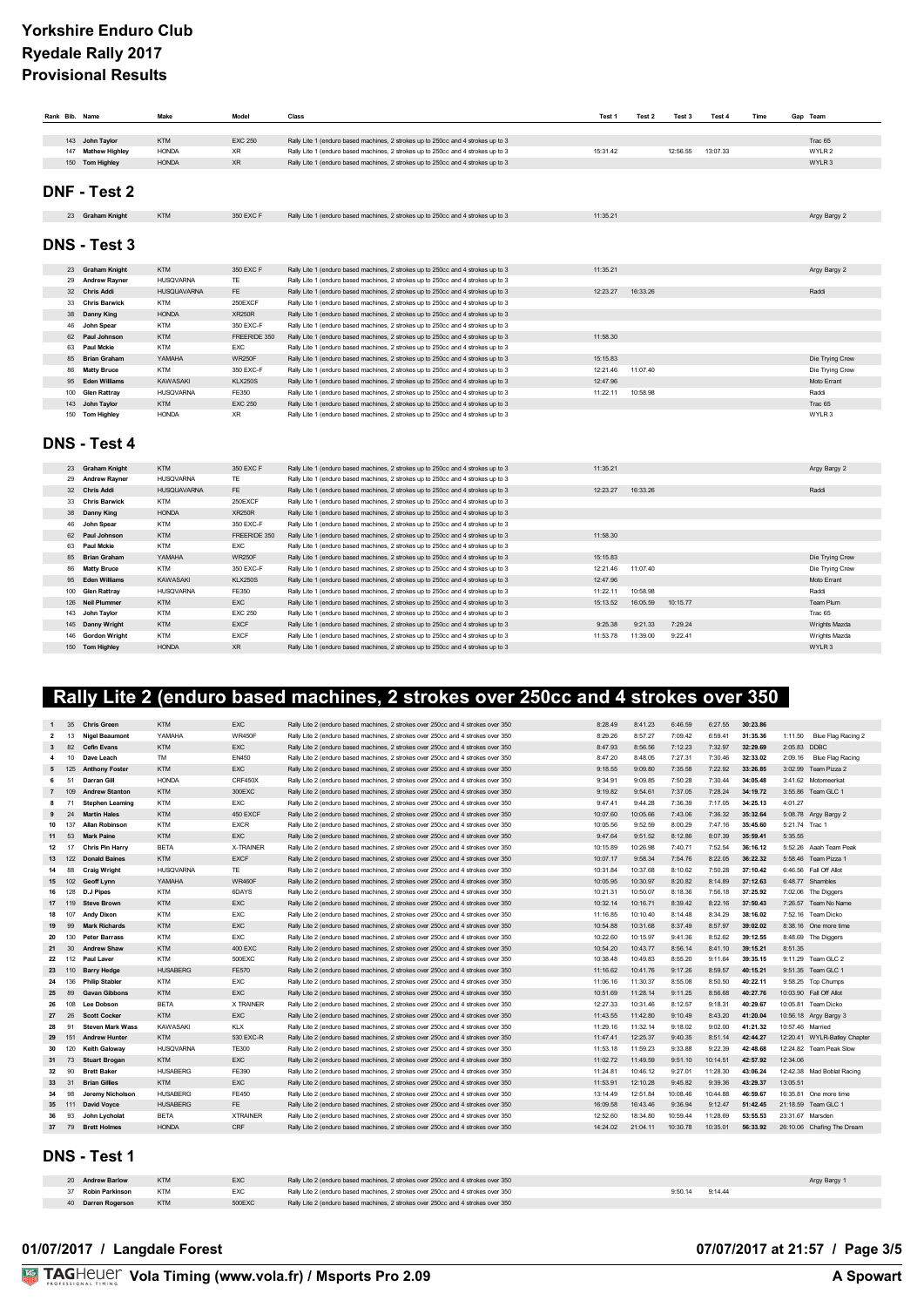## **Yorkshire Enduro Club Ryedale Rally 2017 Provisional Results**

| Rank Bib. Name |                     | Make               | Model          | Class                                                                            | Test 1   | Test 2   | Test 3   | Test 4   | Time | Gap Team          |
|----------------|---------------------|--------------------|----------------|----------------------------------------------------------------------------------|----------|----------|----------|----------|------|-------------------|
|                |                     |                    |                |                                                                                  |          |          |          |          |      |                   |
|                | 143 John Taylor     | <b>KTM</b>         | <b>EXC 250</b> | Rally Lite 1 (enduro based machines, 2 strokes up to 250cc and 4 strokes up to 3 |          |          |          |          |      | Trac 65           |
|                | 147 Mathew Highley  | <b>HONDA</b>       | <b>XR</b>      | Rally Lite 1 (enduro based machines, 2 strokes up to 250cc and 4 strokes up to 3 | 15:31.42 |          | 12:56.55 | 13:07.33 |      | WYLR <sub>2</sub> |
|                | 150 Tom Highley     | <b>HONDA</b>       | <b>XR</b>      | Rally Lite 1 (enduro based machines, 2 strokes up to 250cc and 4 strokes up to 3 |          |          |          |          |      | WYLR 3            |
|                | DNF - Test 2        |                    |                |                                                                                  |          |          |          |          |      |                   |
|                | 23 Graham Knight    | <b>KTM</b>         | 350 EXC F      | Rally Lite 1 (enduro based machines, 2 strokes up to 250cc and 4 strokes up to 3 | 11:35.21 |          |          |          |      | Argy Bargy 2      |
|                | <b>DNS - Test 3</b> |                    |                |                                                                                  |          |          |          |          |      |                   |
|                | 23 Graham Knight    | <b>KTM</b>         | 350 EXC F      | Rally Lite 1 (enduro based machines, 2 strokes up to 250cc and 4 strokes up to 3 | 11:35.21 |          |          |          |      | Argy Bargy 2      |
|                | 29 Andrew Rayner    | <b>HUSQVARNA</b>   | TE             | Rally Lite 1 (enduro based machines, 2 strokes up to 250cc and 4 strokes up to 3 |          |          |          |          |      |                   |
|                | 32 Chris Addi       | <b>HUSQUAVARNA</b> | FE.            | Rally Lite 1 (enduro based machines, 2 strokes up to 250cc and 4 strokes up to 3 | 12:23.27 | 16:33.26 |          |          |      | Raddi             |
|                | 33 Chris Barwick    | <b>KTM</b>         | 250EXCF        | Rally Lite 1 (enduro based machines, 2 strokes up to 250cc and 4 strokes up to 3 |          |          |          |          |      |                   |
| 38             | Danny King          | <b>HONDA</b>       | <b>XR250R</b>  | Rally Lite 1 (enduro based machines, 2 strokes up to 250cc and 4 strokes up to 3 |          |          |          |          |      |                   |
| 46             | John Spear          | <b>KTM</b>         | 350 EXC-F      | Rally Lite 1 (enduro based machines, 2 strokes up to 250cc and 4 strokes up to 3 |          |          |          |          |      |                   |
|                | 62 Paul Johnson     | <b>KTM</b>         | FREERIDE 350   | Rally Lite 1 (enduro based machines, 2 strokes up to 250cc and 4 strokes up to 3 | 11:58.30 |          |          |          |      |                   |
|                | 63 Paul Mckie       | <b>KTM</b>         | <b>EXC</b>     | Rally Lite 1 (enduro based machines, 2 strokes up to 250cc and 4 strokes up to 3 |          |          |          |          |      |                   |
|                | 85 Brian Graham     | YAMAHA             | <b>WR250F</b>  | Rally Lite 1 (enduro based machines, 2 strokes up to 250cc and 4 strokes up to 3 | 15:15.83 |          |          |          |      | Die Trying Crew   |
|                | 86 Matty Bruce      | <b>KTM</b>         | 350 EXC-F      | Rally Lite 1 (enduro based machines, 2 strokes up to 250cc and 4 strokes up to 3 | 12:21.46 | 11:07.40 |          |          |      | Die Trying Crew   |
|                | 95 Eden Williams    | <b>KAWASAKI</b>    | <b>KLX250S</b> | Rally Lite 1 (enduro based machines, 2 strokes up to 250cc and 4 strokes up to 3 | 12:47.96 |          |          |          |      | Moto Errant       |
|                | 100 Glen Rattray    | <b>HUSQVARNA</b>   | FE350          | Rally Lite 1 (enduro based machines, 2 strokes up to 250cc and 4 strokes up to 3 | 11:22.11 | 10:58.98 |          |          |      | Raddi             |
|                | 143 John Taylor     | <b>KTM</b>         | <b>EXC 250</b> | Rally Lite 1 (enduro based machines, 2 strokes up to 250cc and 4 strokes up to 3 |          |          |          |          |      | Trac 65           |
|                | 150 Tom Highley     | <b>HONDA</b>       | <b>XR</b>      | Rally Lite 1 (enduro based machines, 2 strokes up to 250cc and 4 strokes up to 3 |          |          |          |          |      | WYLR 3            |
|                | <b>DNS - Test 4</b> |                    |                |                                                                                  |          |          |          |          |      |                   |
|                | 23 Graham Knight    | <b>KTM</b>         | 350 EXC F      | Rally Lite 1 (enduro based machines, 2 strokes up to 250cc and 4 strokes up to 3 | 11:35.21 |          |          |          |      | Argy Bargy 2      |
|                | 29 Andrew Rayner    | <b>HUSQVARNA</b>   | <b>TE</b>      | Rally Lite 1 (enduro based machines, 2 strokes up to 250cc and 4 strokes up to 3 |          |          |          |          |      |                   |
|                | 32 Chris Addi       | <b>HUSQUAVARNA</b> | FE             | Rally Lite 1 (enduro based machines, 2 strokes up to 250cc and 4 strokes up to 3 | 12:23.27 | 16:33.26 |          |          |      | Raddi             |
|                | 33 Chris Barwick    | <b>KTM</b>         | 250EXCF        | Rally Lite 1 (enduro based machines, 2 strokes up to 250cc and 4 strokes up to 3 |          |          |          |          |      |                   |
|                | 38 Danny King       | <b>HONDA</b>       | <b>XR250R</b>  | Rally Lite 1 (enduro based machines, 2 strokes up to 250cc and 4 strokes up to 3 |          |          |          |          |      |                   |
| 46             | John Spear          | <b>KTM</b>         | 350 EXC-F      | Rally Lite 1 (enduro based machines, 2 strokes up to 250cc and 4 strokes up to 3 |          |          |          |          |      |                   |
|                | 62 Paul Johnson     | <b>KTM</b>         | FREERIDE 350   | Rally Lite 1 (enduro based machines, 2 strokes up to 250cc and 4 strokes up to 3 | 11:58.30 |          |          |          |      |                   |
|                | 63 Paul Mckie       | KTM                | EXC            | Rally Lite 1 (enduro based machines, 2 strokes up to 250cc and 4 strokes up to 3 |          |          |          |          |      |                   |
| 85             | <b>Brian Graham</b> | YAMAHA             | <b>WR250F</b>  | Rally Lite 1 (enduro based machines, 2 strokes up to 250cc and 4 strokes up to 3 | 15:15.83 |          |          |          |      | Die Trying Crew   |
|                | 86 Matty Bruce      | <b>KTM</b>         | 350 EXC-F      | Rally Lite 1 (enduro based machines, 2 strokes up to 250cc and 4 strokes up to 3 | 12:21.46 | 11:07.40 |          |          |      | Die Trying Crew   |
|                | 95 Eden Williams    | <b>KAWASAKI</b>    | <b>KLX250S</b> | Rally Lite 1 (enduro based machines, 2 strokes up to 250cc and 4 strokes up to 3 | 12:47.96 |          |          |          |      | Moto Errant       |
| 100            | <b>Glen Rattray</b> | <b>HUSQVARNA</b>   | FE350          | Rally Lite 1 (enduro based machines, 2 strokes up to 250cc and 4 strokes up to 3 | 11:22.11 | 10:58.98 |          |          |      | Raddi             |
|                | 126 Neil Plummer    | <b>KTM</b>         | EXC            | Rally Lite 1 (enduro based machines, 2 strokes up to 250cc and 4 strokes up to 3 | 15:13.52 | 16:05.59 | 10:15.77 |          |      | Team Plum         |
|                | 143 John Taylor     | <b>KTM</b>         | <b>EXC 250</b> | Rally Lite 1 (enduro based machines, 2 strokes up to 250cc and 4 strokes up to 3 |          |          |          |          |      | Trac 65           |
|                | 145 Danny Wright    | <b>KTM</b>         | <b>EXCF</b>    | Rally Lite 1 (enduro based machines, 2 strokes up to 250cc and 4 strokes up to 3 | 9:25.38  | 9:21.33  | 7:29.24  |          |      | Wrights Mazda     |
|                | 146 Gordon Wright   | <b>KTM</b>         | <b>EXCF</b>    | Rally Lite 1 (enduro based machines, 2 strokes up to 250cc and 4 strokes up to 3 | 11:53.78 | 11:39.00 | 9:22.41  |          |      | Wrights Mazda     |
|                | 150 Tom Highley     | <b>HONDA</b>       | <b>XR</b>      | Rally Lite 1 (enduro based machines, 2 strokes up to 250cc and 4 strokes up to 3 |          |          |          |          |      | WYLR 3            |

# **Rally Lite 2 (enduro based machines, 2 strokes over 250cc and 4 strokes over 350**

|                | 35              | <b>Chris Green</b>      | <b>KTM</b>       | <b>EXC</b>       | Rally Lite 2 (enduro based machines, 2 strokes over 250cc and 4 strokes over 350 | 8:28.49  | 8:41.23  | 6:46.59  | 6:27.55  | 30:23.86 |                               |
|----------------|-----------------|-------------------------|------------------|------------------|----------------------------------------------------------------------------------|----------|----------|----------|----------|----------|-------------------------------|
| $\overline{2}$ | 13              | <b>Nigel Beaumont</b>   | YAMAHA           | <b>WR450F</b>    | Rally Lite 2 (enduro based machines, 2 strokes over 250cc and 4 strokes over 350 | 8:29.26  | 8:57.27  | 7.0942   | 6:59.41  | 31:35.36 | 1:11.50<br>Blue Flag Racing 2 |
| 3              | 82              | <b>Cefin Evans</b>      | <b>KTM</b>       | <b>EXC</b>       | Rally Lite 2 (enduro based machines, 2 strokes over 250cc and 4 strokes over 350 | 8:47.93  | 8:56.56  | 7:12.23  | 7:32.97  | 32:29.69 | 2:05.83<br><b>DDBC</b>        |
| 4              | 10              | Dave Leach              | <b>TM</b>        | EN450            | Rally Lite 2 (enduro based machines, 2 strokes over 250cc and 4 strokes over 350 | 8:47.20  | 8:48.05  | 7:27.31  | 7:30.46  | 32:33.02 | 2:09.16<br>Blue Flag Racing   |
| 5              | 125             | <b>Anthony Foster</b>   | <b>KTM</b>       | <b>EXC</b>       | Rally Lite 2 (enduro based machines, 2 strokes over 250cc and 4 strokes over 350 | 9:18.55  | 9:09.80  | 7:35.58  | 7:22.92  | 33:26.85 | 3:02.99<br>Team Pizza 2       |
| 6              | 51              | <b>Darran Gill</b>      | <b>HONDA</b>     | CRF450X          | Rally Lite 2 (enduro based machines, 2 strokes over 250cc and 4 strokes over 350 | 9:34.91  | 9:09.85  | 7:50.28  | 7:30.44  | 34:05.48 | 3:41.62 Motomeerkat           |
| $\overline{7}$ | 109             | <b>Andrew Stanton</b>   | <b>KTM</b>       | 300EXC           | Rally Lite 2 (enduro based machines, 2 strokes over 250cc and 4 strokes over 350 | 9:19.82  | 9:54.61  | 7:37.05  | 7:28.24  | 34:19.72 | 3:55.86 Team GLC 1            |
| 8              | 71              | <b>Stephen Leaming</b>  | <b>KTM</b>       | <b>EXC</b>       | Rally Lite 2 (enduro based machines, 2 strokes over 250cc and 4 strokes over 350 | 9:47.41  | 9:44.28  | 7:36.39  | 7:17.05  | 34:25.13 | 4:01.27                       |
| 9              | 24              | <b>Martin Hales</b>     | <b>KTM</b>       | 450 EXCF         | Rally Lite 2 (enduro based machines, 2 strokes over 250cc and 4 strokes over 350 | 10:07.60 | 10:05.66 | 7:43.06  | 7:36.32  | 35:32.64 | 5:08.78 Argy Bargy 2          |
| 10             | 137             | <b>Allan Robinson</b>   | <b>KTM</b>       | <b>EXCR</b>      | Rally Lite 2 (enduro based machines, 2 strokes over 250cc and 4 strokes over 350 | 10:05.56 | 9:52.59  | 8:00.29  | 7:47.16  | 35:45.60 | 5:21.74 Trac 1                |
| 11             | 53              | <b>Mark Paine</b>       | <b>KTM</b>       | <b>EXC</b>       | Rally Lite 2 (enduro based machines, 2 strokes over 250cc and 4 strokes over 350 | 9:47.64  | 9:51.52  | 8:12.86  | 8:07.39  | 35:59.41 | 5:35.55                       |
| 12             | 17              | <b>Chris Pin Harry</b>  | <b>BETA</b>      | <b>X-TRAINER</b> | Rally Lite 2 (enduro based machines, 2 strokes over 250cc and 4 strokes over 350 | 10:15.89 | 10:26.98 | 7:40.71  | 7:52.54  | 36:16.12 | 5:52.26 Aaah Team Peak        |
| 13             | 122             | <b>Donald Baines</b>    | <b>KTM</b>       | <b>EXCF</b>      | Rally Lite 2 (enduro based machines, 2 strokes over 250cc and 4 strokes over 350 | 10:07.17 | 9:58.34  | 7:54.76  | 8:22.05  | 36:22.32 | 5:58.46 Team Pizza 1          |
| 14             | 88              | <b>Craig Wright</b>     | <b>HUSQVARNA</b> | TE.              | Rally Lite 2 (enduro based machines, 2 strokes over 250cc and 4 strokes over 350 | 10:31.84 | 10:37.68 | 8:10.62  | 7:50.28  | 37:10.42 | 6:46.56 Fall Off Allot        |
| 15             | 102             | Geoff Lynn              | YAMAHA           | <b>WR460F</b>    | Rally Lite 2 (enduro based machines, 2 strokes over 250cc and 4 strokes over 350 | 10:05.95 | 10:30.97 | 8:20.82  | 8:14.89  | 37:12.63 | 6:48.77 Shambles              |
| 16             | 128             | <b>D.J Pipes</b>        | <b>KTM</b>       | 6DAYS            | Rally Lite 2 (enduro based machines, 2 strokes over 250cc and 4 strokes over 350 | 10:21.31 | 10:50.07 | 8:18.36  | 7:56.18  | 37:25.92 | 7:02.06 The Diggers           |
| 17             | 119             | <b>Steve Brown</b>      | <b>KTM</b>       | <b>EXC</b>       | Rally Lite 2 (enduro based machines, 2 strokes over 250cc and 4 strokes over 350 | 10:32.14 | 10:16.71 | 8:39.42  | 8:22.16  | 37:50.43 | 7:26.57 Team No Name          |
| 18             | 107             | <b>Andy Dixon</b>       | <b>KTM</b>       | <b>EXC</b>       | Rally Lite 2 (enduro based machines, 2 strokes over 250cc and 4 strokes over 350 | 11:16.85 | 10:10.40 | 8:14.48  | 8:34 29  | 38:16.02 | 7:52.16 Team Dicko            |
| 19             | 99              | <b>Mark Richards</b>    | <b>KTM</b>       | <b>EXC</b>       | Rally Lite 2 (enduro based machines, 2 strokes over 250cc and 4 strokes over 350 | 10:54.88 | 10:31.68 | 8:37.49  | 8:57.97  | 39:02.02 | 8:38.16 One more time         |
| 20             | 130             | <b>Peter Barrass</b>    | <b>KTM</b>       | <b>EXC</b>       | Rally Lite 2 (enduro based machines, 2 strokes over 250cc and 4 strokes over 350 | 10:22.60 | 10:15.97 | 9:41.36  | 8:52.62  | 39:12.55 | 8:48.69 The Diggers           |
| 21             | 30 <sub>o</sub> | <b>Andrew Shaw</b>      | <b>KTM</b>       | 400 FXC          | Rally Lite 2 (enduro based machines, 2 strokes over 250cc and 4 strokes over 350 | 10:54.20 | 10:43.77 | 8:5614   | 8:4110   | 39:15.21 | 8:51.35                       |
| 22             | 112             | Paul Laver              | <b>KTM</b>       | 500 F XC         | Rally Lite 2 (enduro based machines, 2 strokes over 250cc and 4 strokes over 350 | 10:38.48 | 10:49 83 | 8:55.20  | 9:11.64  | 39:35.15 | 9:11.29 Team GLC 2            |
| 23             | 110             | <b>Barry Hedge</b>      | <b>HUSABERG</b>  | <b>FE570</b>     | Rally Lite 2 (enduro based machines, 2 strokes over 250cc and 4 strokes over 350 | 11:16.62 | 10:41.76 | 9:17.26  | 8:59.57  | 40:15.21 | 9:51.35 Team GLC 1            |
| 24             | 136             | <b>Philip Stabler</b>   | <b>KTM</b>       | EXC              | Rally Lite 2 (enduro based machines, 2 strokes over 250cc and 4 strokes over 350 | 11:06.16 | 11:30.37 | 8:55.08  | 8:50.50  | 40:22.11 | 9:58.25 Top Chumps            |
| 25             | 89              | <b>Gavan Gibbons</b>    | <b>KTM</b>       | <b>EXC</b>       | Rally Lite 2 (enduro based machines, 2 strokes over 250cc and 4 strokes over 350 | 10:51.69 | 11:28.14 | 9:11.25  | 8:56.68  | 40:27.76 | 10:03.90  Fall Off Allot      |
| 26             | 108             | Lee Dobson              | <b>BETA</b>      | X TRAINER        | Rally Lite 2 (enduro based machines, 2 strokes over 250cc and 4 strokes over 350 | 12:27.33 | 10:31.46 | 8:12.57  | 9:18.31  | 40:29.67 | 10:05.81 Team Dicko           |
| 27             | 26              | <b>Scott Cocker</b>     | <b>KTM</b>       | <b>EXC</b>       | Rally Lite 2 (enduro based machines, 2 strokes over 250cc and 4 strokes over 350 | 11:43.55 | 11:42.80 | 9:10.49  | 8:43.20  | 41:20.04 | 10:56.18 Argy Bargy 3         |
| 28             | 91              | <b>Steven Mark Wass</b> | KAWASAKI         | <b>KLX</b>       | Rally Lite 2 (enduro based machines, 2 strokes over 250cc and 4 strokes over 350 | 11:29.16 | 11:32.14 | 9:18.02  | 9:02.00  | 41:21.32 | 10:57.46 Married              |
| 29             | 151             | <b>Andrew Hunter</b>    | <b>KTM</b>       | 530 EXC-R        | Rally Lite 2 (enduro based machines, 2 strokes over 250cc and 4 strokes over 350 | 11:47.41 | 12:25.37 | 9:40.35  | 8:51.14  | 42:44.27 | 12:20.41 WYLR-Batley Chapter  |
| 30             | 120             | <b>Keith Galoway</b>    | <b>HUSQVARNA</b> | <b>TE300</b>     | Rally Lite 2 (enduro based machines, 2 strokes over 250cc and 4 strokes over 350 | 11:53.18 | 11:59.23 | 9:33.88  | 9:22.39  | 42:48.68 | 12:24.82 Team Peak Slow       |
| 31             | 73              | <b>Stuart Brogan</b>    | <b>KTM</b>       | <b>EXC</b>       | Rally Lite 2 (enduro based machines, 2 strokes over 250cc and 4 strokes over 350 | 11:02.72 | 11:49.59 | 9:51.10  | 10:14.51 | 42:57.92 | 12:34.06                      |
| 32             | 90              | <b>Brett Baker</b>      | <b>HUSABERG</b>  | FE390            | Rally Lite 2 (enduro based machines, 2 strokes over 250cc and 4 strokes over 350 | 11:24.81 | 10:46.12 | 9:27.01  | 11:28.30 | 43:06.24 | 12:42.38 Mad Boblat Racing    |
| 33             | 31              | <b>Brian Gillies</b>    | <b>KTM</b>       | <b>EXC</b>       | Rally Lite 2 (enduro based machines, 2 strokes over 250cc and 4 strokes over 350 | 11:53.91 | 12:10.28 | 9:45.82  | 9:39.36  | 43:29.37 | 13:05.51                      |
| 34             | 98              | Jeremy Nicholson        | <b>HUSABERG</b>  | FF450            | Rally Lite 2 (enduro based machines, 2 strokes over 250cc and 4 strokes over 350 | 13:14 49 | 12:51 84 | 10:08 46 | 10:44 88 | 46:59.67 | 16:35.81 One more time        |
|                | 35 111          | <b>David Voyce</b>      | <b>HUSABERG</b>  | FF.              | Rally Lite 2 (enduro based machines, 2 strokes over 250cc and 4 strokes over 350 | 16:09.58 | 16:43.46 | 9:36.94  | 9:12.47  | 51:42.45 | 21:18.59 Team GLC 1           |
| 36             | 93              | John Lycholat           | <b>BETA</b>      | <b>XTRAINER</b>  | Rally Lite 2 (enduro based machines, 2 strokes over 250cc and 4 strokes over 350 | 12:52.60 | 18:34.80 | 10:59.44 | 11:28.69 | 53:55.53 | 23:31.67 Marsden              |
|                |                 | 37 79 Brett Holmes      | <b>HONDA</b>     | CRE              | Rally Lite 2 (enduro based machines, 2 strokes over 250cc and 4 strokes over 350 | 14:24.02 | 21:04.11 | 10:30.78 | 10:35.01 | 56:33.92 | 26:10.06 Chafing The Dream    |
|                |                 |                         |                  |                  |                                                                                  |          |          |          |          |          |                               |

#### **DNS - Test 1**

| 20 Andrew Barlow   | <b>KTM</b> | EXC    | Rally Lite 2 (enduro based machines, 2 strokes over 250cc and 4 strokes over 350 |                    | Argy Bargy 1 |
|--------------------|------------|--------|----------------------------------------------------------------------------------|--------------------|--------------|
| Robin Parkinson    | <b>KTM</b> | EXC    | Rally Lite 2 (enduro based machines, 2 strokes over 250cc and 4 strokes over 350 | 9:50.14<br>9:14.44 |              |
| 40 Darren Rogerson | <b>KTM</b> | 500EXC | Rally Lite 2 (enduro based machines, 2 strokes over 250cc and 4 strokes over 350 |                    |              |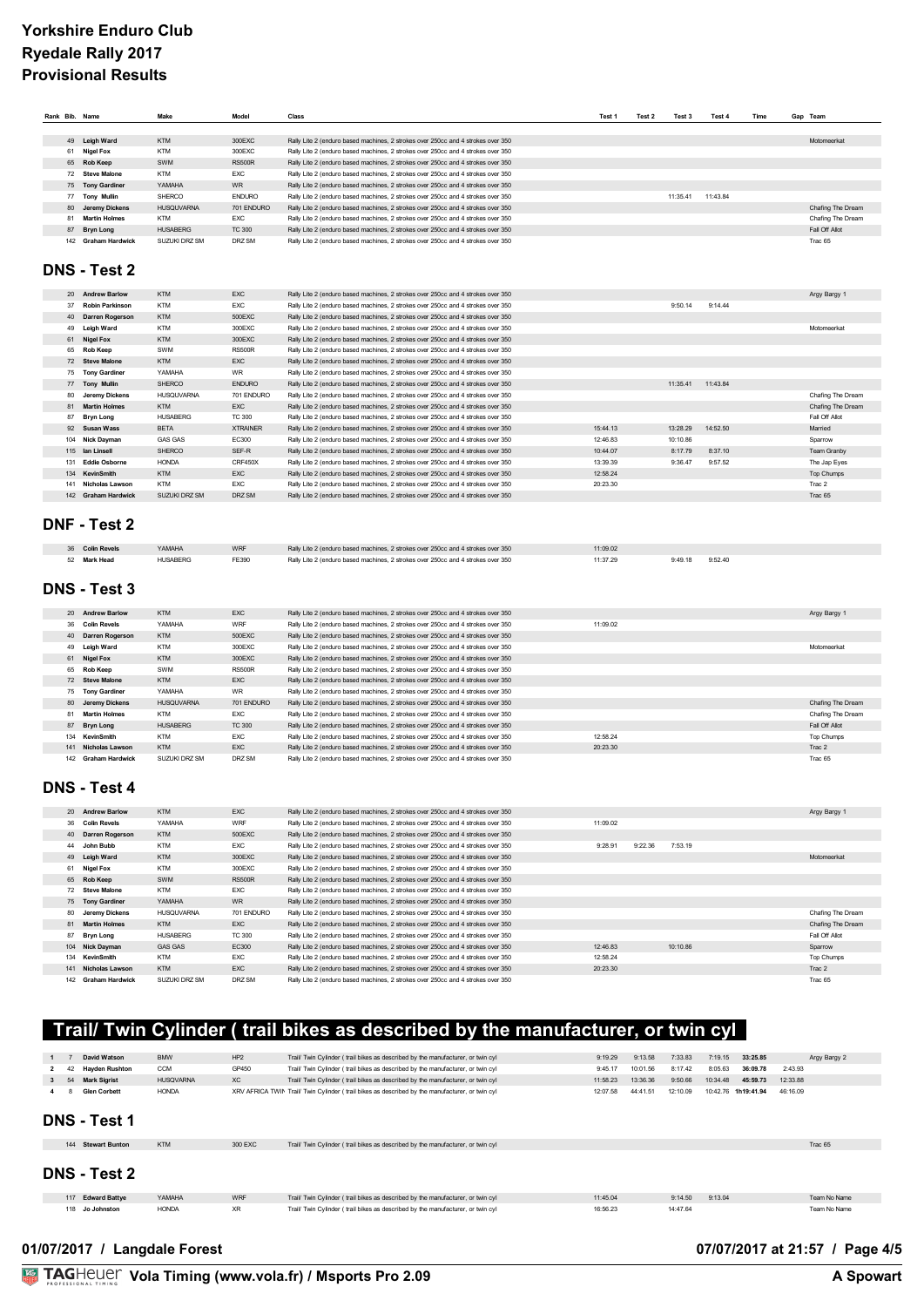| Rank Bib. Name |                        | Make              | Model           | Class                                                                            | Test 1   | Test 2 | Test 3   | Test 4   | Time | Gap Team          |
|----------------|------------------------|-------------------|-----------------|----------------------------------------------------------------------------------|----------|--------|----------|----------|------|-------------------|
|                |                        |                   |                 |                                                                                  |          |        |          |          |      |                   |
|                | 49 Leigh Ward          | <b>KTM</b>        | 300EXC          | Rally Lite 2 (enduro based machines, 2 strokes over 250cc and 4 strokes over 350 |          |        |          |          |      | Motomeerkat       |
| 61             | <b>Nigel Fox</b>       | <b>KTM</b>        | 300EXC          | Rally Lite 2 (enduro based machines, 2 strokes over 250cc and 4 strokes over 350 |          |        |          |          |      |                   |
|                | 65 Rob Keep            | SWM               | <b>RS500R</b>   | Rally Lite 2 (enduro based machines, 2 strokes over 250cc and 4 strokes over 350 |          |        |          |          |      |                   |
|                | 72 Steve Malone        | <b>KTM</b>        | <b>EXC</b>      | Rally Lite 2 (enduro based machines, 2 strokes over 250cc and 4 strokes over 350 |          |        |          |          |      |                   |
|                | 75 Tony Gardiner       | YAMAHA            | WR              | Rally Lite 2 (enduro based machines, 2 strokes over 250cc and 4 strokes over 350 |          |        |          |          |      |                   |
|                | 77 Tony Mullin         | SHERCO            | <b>ENDURO</b>   | Rally Lite 2 (enduro based machines, 2 strokes over 250cc and 4 strokes over 350 |          |        | 11:35.41 | 11:43.84 |      |                   |
| 80             | <b>Jeremy Dickens</b>  | <b>HUSQUVARNA</b> | 701 ENDURO      | Rally Lite 2 (enduro based machines, 2 strokes over 250cc and 4 strokes over 350 |          |        |          |          |      | Chafing The Dream |
| 81             | <b>Martin Holmes</b>   | <b>KTM</b>        | <b>EXC</b>      | Rally Lite 2 (enduro based machines, 2 strokes over 250cc and 4 strokes over 350 |          |        |          |          |      | Chafing The Dream |
|                | 87 Bryn Long           | <b>HUSABERG</b>   | <b>TC 300</b>   | Rally Lite 2 (enduro based machines, 2 strokes over 250cc and 4 strokes over 350 |          |        |          |          |      | Fall Off Allot    |
|                | 142 Graham Hardwick    | SUZUKI DRZ SM     | DRZ SM          | Rally Lite 2 (enduro based machines, 2 strokes over 250cc and 4 strokes over 350 |          |        |          |          |      | Trac 65           |
|                | DNS - Test 2           |                   |                 |                                                                                  |          |        |          |          |      |                   |
|                |                        |                   |                 |                                                                                  |          |        |          |          |      |                   |
|                | 20 Andrew Barlow       | <b>KTM</b>        | EXC             | Rally Lite 2 (enduro based machines, 2 strokes over 250cc and 4 strokes over 350 |          |        |          |          |      | Argy Bargy 1      |
| 37             | <b>Robin Parkinson</b> | <b>KTM</b>        | EXC             | Rally Lite 2 (enduro based machines, 2 strokes over 250cc and 4 strokes over 350 |          |        | 9:50.14  | 9:14.44  |      |                   |
| 40             | Darren Rogerson        | <b>KTM</b>        | 500EXC          | Rally Lite 2 (enduro based machines, 2 strokes over 250cc and 4 strokes over 350 |          |        |          |          |      |                   |
| 49             | Leigh Ward             | <b>KTM</b>        | 300EXC          | Rally Lite 2 (enduro based machines, 2 strokes over 250cc and 4 strokes over 350 |          |        |          |          |      | Motomeerkat       |
| 61             | <b>Nigel Fox</b>       | <b>KTM</b>        | 300EXC          | Rally Lite 2 (enduro based machines, 2 strokes over 250cc and 4 strokes over 350 |          |        |          |          |      |                   |
|                | 65 Rob Keep            | SWM               | <b>RS500R</b>   | Rally Lite 2 (enduro based machines, 2 strokes over 250cc and 4 strokes over 350 |          |        |          |          |      |                   |
|                | 72 Steve Malone        | KTM               | <b>EXC</b>      | Rally Lite 2 (enduro based machines, 2 strokes over 250cc and 4 strokes over 350 |          |        |          |          |      |                   |
|                | 75 Tony Gardiner       | YAMAHA            | <b>WR</b>       | Rally Lite 2 (enduro based machines, 2 strokes over 250cc and 4 strokes over 350 |          |        |          |          |      |                   |
| 77             | <b>Tony Mullin</b>     | SHERCO            | <b>ENDURO</b>   | Rally Lite 2 (enduro based machines, 2 strokes over 250cc and 4 strokes over 350 |          |        | 11:35.41 | 11:43.84 |      |                   |
| 80             | <b>Jeremy Dickens</b>  | <b>HUSQUVARNA</b> | 701 ENDURO      | Rally Lite 2 (enduro based machines, 2 strokes over 250cc and 4 strokes over 350 |          |        |          |          |      | Chafing The Dream |
|                | 81 Martin Holmes       | <b>KTM</b>        | <b>EXC</b>      | Rally Lite 2 (enduro based machines, 2 strokes over 250cc and 4 strokes over 350 |          |        |          |          |      | Chafing The Dream |
|                |                        | <b>HUSABERG</b>   | <b>TC 300</b>   | Rally Lite 2 (enduro based machines, 2 strokes over 250cc and 4 strokes over 350 |          |        |          |          |      | Fall Off Allot    |
|                | 87 Bryn Long           |                   | <b>XTRAINER</b> |                                                                                  | 15:44.13 |        | 13:28.29 | 14:52.50 |      |                   |
| 92             | <b>Susan Wass</b>      | <b>BETA</b>       |                 | Rally Lite 2 (enduro based machines, 2 strokes over 250cc and 4 strokes over 350 |          |        |          |          |      | Married           |
|                | 104 Nick Dayman        | <b>GAS GAS</b>    | EC300           | Rally Lite 2 (enduro based machines, 2 strokes over 250cc and 4 strokes over 350 | 12:46.83 |        | 10:10.86 |          |      | Sparrow           |
|                | 115 Ian Linsell        | SHERCO            | SEF-R           | Rally Lite 2 (enduro based machines, 2 strokes over 250cc and 4 strokes over 350 | 10:44.07 |        | 8:17.79  | 8:37.10  |      | Team Granby       |
|                | 131 Eddie Osborne      | <b>HONDA</b>      | CRF450X         | Rally Lite 2 (enduro based machines, 2 strokes over 250cc and 4 strokes over 350 | 13:39.39 |        | 9:36.47  | 9:57.52  |      | The Jap Eyes      |
|                | 134 KevinSmith         | <b>KTM</b>        | <b>EXC</b>      | Rally Lite 2 (enduro based machines, 2 strokes over 250cc and 4 strokes over 350 | 12:58.24 |        |          |          |      | Top Chumps        |
|                | 141 Nicholas Lawson    | <b>KTM</b>        | EXC             | Rally Lite 2 (enduro based machines, 2 strokes over 250cc and 4 strokes over 350 | 20:23.30 |        |          |          |      | Trac 2            |
|                | 142 Graham Hardwick    | SUZUKI DRZ SM     | DRZ SM          | Rally Lite 2 (enduro based machines, 2 strokes over 250cc and 4 strokes over 350 |          |        |          |          |      | Trac 65           |
|                | DNF - Test 2           |                   |                 |                                                                                  |          |        |          |          |      |                   |
|                | 36 Colin Revels        | YAMAHA            | WRF             | Rally Lite 2 (enduro based machines, 2 strokes over 250cc and 4 strokes over 350 | 11:09.02 |        |          |          |      |                   |
| 52             | <b>Mark Head</b>       | <b>HUSABERG</b>   | FE390           | Rally Lite 2 (enduro based machines, 2 strokes over 250cc and 4 strokes over 350 | 11:37.29 |        | 9:49.18  | 9:52.40  |      |                   |
|                | DNS - Test 3           |                   |                 |                                                                                  |          |        |          |          |      |                   |
|                | 20 Andrew Barlow       | <b>KTM</b>        | EXC             | Rally Lite 2 (enduro based machines, 2 strokes over 250cc and 4 strokes over 350 |          |        |          |          |      | Argy Bargy 1      |
| 36             | <b>Colin Revels</b>    | YAMAHA            | WRF             | Rally Lite 2 (enduro based machines, 2 strokes over 250cc and 4 strokes over 350 | 11:09.02 |        |          |          |      |                   |
|                | 40 Darren Rogerson     | <b>KTM</b>        | 500EXC          | Rally Lite 2 (enduro based machines, 2 strokes over 250cc and 4 strokes over 350 |          |        |          |          |      |                   |
| 49             | Leigh Ward             | <b>KTM</b>        | 300EXC          | Rally Lite 2 (enduro based machines, 2 strokes over 250cc and 4 strokes over 350 |          |        |          |          |      | Motomeerkat       |
|                | 61 Nigel Fox           | <b>KTM</b>        | 300EXC          | Rally Lite 2 (enduro based machines, 2 strokes over 250cc and 4 strokes over 350 |          |        |          |          |      |                   |
| 65             | <b>Rob Keep</b>        | SWM               | <b>RS500R</b>   | Rally Lite 2 (enduro based machines, 2 strokes over 250cc and 4 strokes over 350 |          |        |          |          |      |                   |
|                | 72 Steve Malone        | KTM               | <b>EXC</b>      | Rally Lite 2 (enduro based machines, 2 strokes over 250cc and 4 strokes over 350 |          |        |          |          |      |                   |
|                | 75 Tony Gardiner       | YAMAHA            | <b>WR</b>       | Rally Lite 2 (enduro based machines, 2 strokes over 250cc and 4 strokes over 350 |          |        |          |          |      |                   |
|                | 80 Jeremy Dickens      | <b>HUSQUVARNA</b> | 701 ENDURO      | Rally Lite 2 (enduro based machines, 2 strokes over 250cc and 4 strokes over 350 |          |        |          |          |      | Chafing The Dream |
| 81             | <b>Martin Holmes</b>   | <b>KTM</b>        | <b>EXC</b>      | Rally Lite 2 (enduro based machines, 2 strokes over 250cc and 4 strokes over 350 |          |        |          |          |      | Chafing The Dream |
| 87             | <b>Bryn Long</b>       | <b>HUSABERG</b>   | <b>TC 300</b>   | Rally Lite 2 (enduro based machines, 2 strokes over 250cc and 4 strokes over 350 |          |        |          |          |      | Fall Off Allot    |
|                | 134 KevinSmith         | <b>KTM</b>        | EXC             | Rally Lite 2 (enduro based machines, 2 strokes over 250cc and 4 strokes over 350 | 12:58.24 |        |          |          |      | Top Chumps        |
|                | 141 Nicholas Lawson    | <b>KTM</b>        | <b>EXC</b>      | Rally Lite 2 (enduro based machines, 2 strokes over 250cc and 4 strokes over 350 | 20:23.30 |        |          |          |      | Trac 2            |
|                | 142 Graham Hardwick    | SUZUKI DRZ SM     | DRZ SM          | Rally Lite 2 (enduro based machines, 2 strokes over 250cc and 4 strokes over 350 |          |        |          |          |      | Trac 65           |
|                |                        |                   |                 |                                                                                  |          |        |          |          |      |                   |
|                | <b>DNS - Test 4</b>    |                   |                 |                                                                                  |          |        |          |          |      |                   |

| 20 | <b>Andrew Barlow</b>  | <b>KTM</b>        | <b>EXC</b>    | Rally Lite 2 (enduro based machines, 2 strokes over 250cc and 4 strokes over 350 |          |         |          | Argy Bargy 1      |
|----|-----------------------|-------------------|---------------|----------------------------------------------------------------------------------|----------|---------|----------|-------------------|
| 36 | <b>Colin Revels</b>   | YAMAHA            | WRF           | Rally Lite 2 (enduro based machines, 2 strokes over 250cc and 4 strokes over 350 | 11:09.02 |         |          |                   |
|    | 40 Darren Rogerson    | <b>KTM</b>        | 500EXC        | Rally Lite 2 (enduro based machines, 2 strokes over 250cc and 4 strokes over 350 |          |         |          |                   |
| 44 | John Bubb             | <b>KTM</b>        | <b>EXC</b>    | Rally Lite 2 (enduro based machines, 2 strokes over 250cc and 4 strokes over 350 | 9:28.91  | 9:22.36 | 7:53.19  |                   |
|    | 49 Leigh Ward         | <b>KTM</b>        | 300EXC        | Rally Lite 2 (enduro based machines, 2 strokes over 250cc and 4 strokes over 350 |          |         |          | Motomeerkat       |
| 61 | <b>Nigel Fox</b>      | <b>KTM</b>        | 300EXC        | Rally Lite 2 (enduro based machines, 2 strokes over 250cc and 4 strokes over 350 |          |         |          |                   |
|    | 65 Rob Keep           | SWM               | <b>RS500R</b> | Rally Lite 2 (enduro based machines, 2 strokes over 250cc and 4 strokes over 350 |          |         |          |                   |
|    | 72 Steve Malone       | <b>KTM</b>        | <b>EXC</b>    | Rally Lite 2 (enduro based machines, 2 strokes over 250cc and 4 strokes over 350 |          |         |          |                   |
|    | 75 Tony Gardiner      | YAMAHA            | <b>WR</b>     | Rally Lite 2 (enduro based machines, 2 strokes over 250cc and 4 strokes over 350 |          |         |          |                   |
| 80 | <b>Jeremy Dickens</b> | <b>HUSQUVARNA</b> | 701 ENDURO    | Rally Lite 2 (enduro based machines, 2 strokes over 250cc and 4 strokes over 350 |          |         |          | Chafing The Dream |
| 81 | <b>Martin Holmes</b>  | <b>KTM</b>        | <b>EXC</b>    | Rally Lite 2 (enduro based machines, 2 strokes over 250cc and 4 strokes over 350 |          |         |          | Chafing The Dream |
| 87 | Bryn Long             | <b>HUSABERG</b>   | <b>TC 300</b> | Rally Lite 2 (enduro based machines, 2 strokes over 250cc and 4 strokes over 350 |          |         |          | Fall Off Allot    |
|    | 104 Nick Dayman       | <b>GAS GAS</b>    | EC300         | Rally Lite 2 (enduro based machines, 2 strokes over 250cc and 4 strokes over 350 | 12:46.83 |         | 10:10.86 | Sparrow           |
|    | 134 KevinSmith        | <b>KTM</b>        | <b>EXC</b>    | Rally Lite 2 (enduro based machines, 2 strokes over 250cc and 4 strokes over 350 | 12:58.24 |         |          | Top Chumps        |
|    | 141 Nicholas Lawson   | <b>KTM</b>        | <b>EXC</b>    | Rally Lite 2 (enduro based machines, 2 strokes over 250cc and 4 strokes over 350 | 20:23.30 |         |          | Trac 2            |
|    | 142 Graham Hardwick   | SUZUKI DRZ SM     | DRZ SM        | Rally Lite 2 (enduro based machines, 2 strokes over 250cc and 4 strokes over 350 |          |         |          | Trac 65           |

# **Trail/ Twin Cylinder ( trail bikes as described by the manufacturer, or twin cyl**

| $\mathbf{1}$       | David Watson          | <b>BMW</b>       | HP2       | Trail/ Twin Cylinder (trail bikes as described by the manufacturer, or twin cyl                 | 9:19.29  | 9:13.58  | 7:33.83  | 7:19.15  | 33:25.85   |          | Argy Bargy 2 |
|--------------------|-----------------------|------------------|-----------|-------------------------------------------------------------------------------------------------|----------|----------|----------|----------|------------|----------|--------------|
|                    | <b>Hayden Rushton</b> | <b>CCM</b>       | GP450     | Trail/ Twin Cylinder (trail bikes as described by the manufacturer, or twin cyl                 | 9:45.17  | 10:01.56 | 8:17.42  | 8:05.63  | 36:09.78   | 2:43.93  |              |
| $\mathbf{3}$<br>54 | <b>Mark Sigrist</b>   | <b>HUSQVARNA</b> | <b>XC</b> | Trail/ Twin Cylinder (trail bikes as described by the manufacturer, or twin cyl                 | 11:58.23 | 13:36.36 | 9:50.66  | 10:34.48 | 45:59.73   | 12:33.88 |              |
|                    | <b>Glen Corbett</b>   | <b>HONDA</b>     |           | XRV AFRICA TWIN Trail/ Twin Cylinder (trail bikes as described by the manufacturer, or twin cyl | 12:07.58 | 44:41.51 | 12:10.09 | 10:42.76 | 1h19:41.94 | 46:16.09 |              |
|                    | <b>DNS - Test 1</b>   |                  |           |                                                                                                 |          |          |          |          |            |          |              |
|                    | 144 Stewart Bunton    | <b>KTM</b>       | 300 EXC   | Trail/ Twin Cylinder (trail bikes as described by the manufacturer, or twin cyl                 |          |          |          |          |            |          | Trac 65      |
|                    | <b>DNS - Test 2</b>   |                  |           |                                                                                                 |          |          |          |          |            |          |              |
|                    | 117 Edward Battye     | YAMAHA           | WRF       | Trail/ Twin Cylinder (trail bikes as described by the manufacturer, or twin cyl                 | 11:45.04 |          | 9:14.50  | 9:13.04  |            |          | Team No Name |
|                    |                       |                  |           |                                                                                                 |          |          |          |          |            |          |              |

#### **01/07/2017 / Langdale Forest 07/07/2017 at 21:57 / Page 4/5**